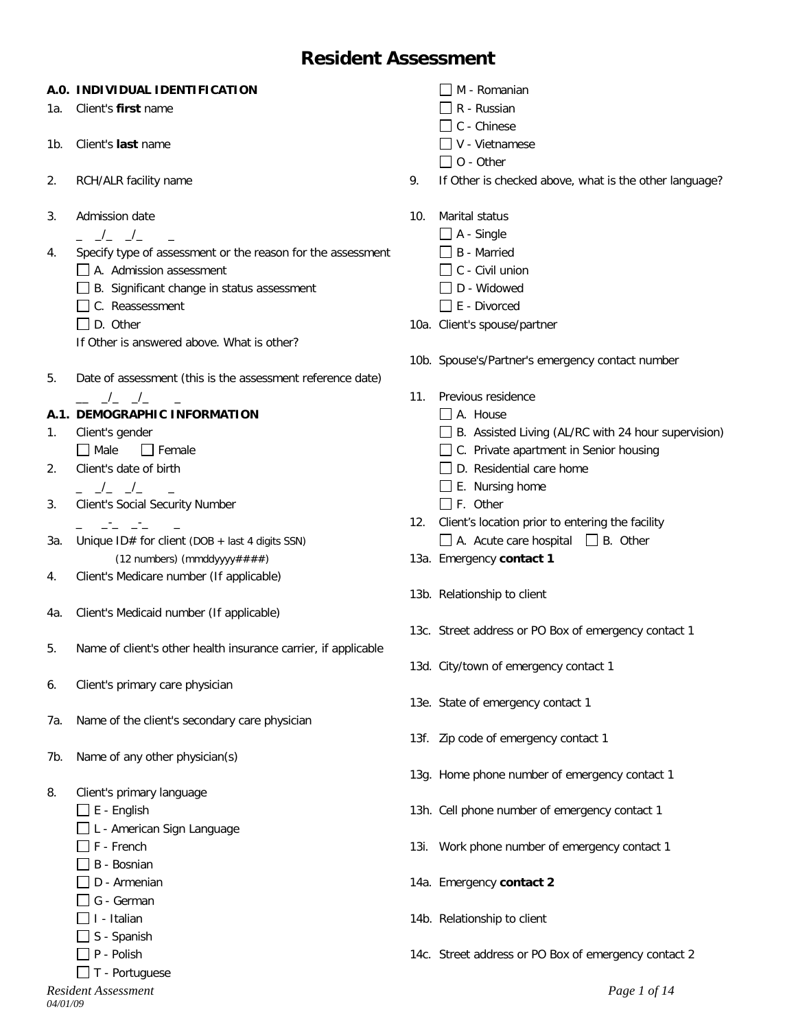# **Resident Assessment**

### **A.0. INDIVIDUAL IDENTIFICATION**

- 1a. Client's **first** name
- 1b. Client's **last** name
- 2. RCH/ALR facility name
- 3. Admission date
	- $\frac{\ }{\ }$   $\frac{\ }{\ }$   $\frac{\ }{\ }$   $\frac{\ }{\ }$
- 4. Specify type of assessment or the reason for the assessment
	- A. Admission assessment
	- $\Box$  B. Significant change in status assessment
	- C. Reassessment
	- $\Box$  D. Other
	- If Other is answered above. What is other?
- 5. Date of assessment (this is the assessment reference date)  $\_\,\_\,\_\,\_\,\_\,\_\,\_\,\_\,\_\,\_\,$

# **A.1. DEMOGRAPHIC INFORMATION**

- 1. Client's gender  $\Box$  Male  $\Box$  Female
- 2. Client's date of birth
- $\frac{\ }{2}$   $\frac{\ }{2}$   $\frac{\ }{2}$   $\frac{\ }{2}$
- 3. Client's Social Security Number
- $\bot$  ,  $\bot$   $\bot$   $\bot$   $\bot$ 3a. Unique ID# for client (DOB + last 4 digits SSN) (12 numbers) (mmddyyyy####)
- 4. Client's Medicare number (If applicable)
- 4a. Client's Medicaid number (If applicable)
- 5. Name of client's other health insurance carrier, if applicable
- 6. Client's primary care physician
- 7a. Name of the client's secondary care physician
- 7b. Name of any other physician(s)
- 8. Client's primary language
	- $\square$  E English
	- □L American Sign Language
	- $\prod$  F French
	- $\Box$  B Bosnian
	- $\Box$  D Armenian
	- G German
	- $\Box$  I Italian
	- $\Box$  S Spanish
	- $\Box$  P Polish
	- $\Box$  T Portuguese
- $\Box$  M Romanian
- $\Box$  R Russian
- $\Box$  C Chinese
- $\Box$  V Vietnamese
- $\Box$  O Other
- 9. If Other is checked above, what is the other language?
- 10. Marital status
	- $\Box$  A Single
		- □ B Married
		- $\Box$  C Civil union
		- $\Box$  D Widowed
		- $\Box$  E Divorced
- 10a. Client's spouse/partner
- 10b. Spouse's/Partner's emergency contact number
- 11. Previous residence
	- A. House
	- B. Assisted Living (AL/RC with 24 hour supervision)
	- □ C. Private apartment in Senior housing
	- $\Box$  D. Residential care home
	- $\Box$  E. Nursing home
	- $\Box$  F. Other
- 12. Client's location prior to entering the facility  $\Box$  A. Acute care hospital  $\Box$  B. Other
- 13a. Emergency **contact 1**
- 13b. Relationship to client
- 13c. Street address or PO Box of emergency contact 1
- 13d. City/town of emergency contact 1
- 13e. State of emergency contact 1
- 13f. Zip code of emergency contact 1
- 13g. Home phone number of emergency contact 1
- 13h. Cell phone number of emergency contact 1
- 13i. Work phone number of emergency contact 1
- 14a. Emergency **contact 2**
- 14b. Relationship to client
- 14c. Street address or PO Box of emergency contact 2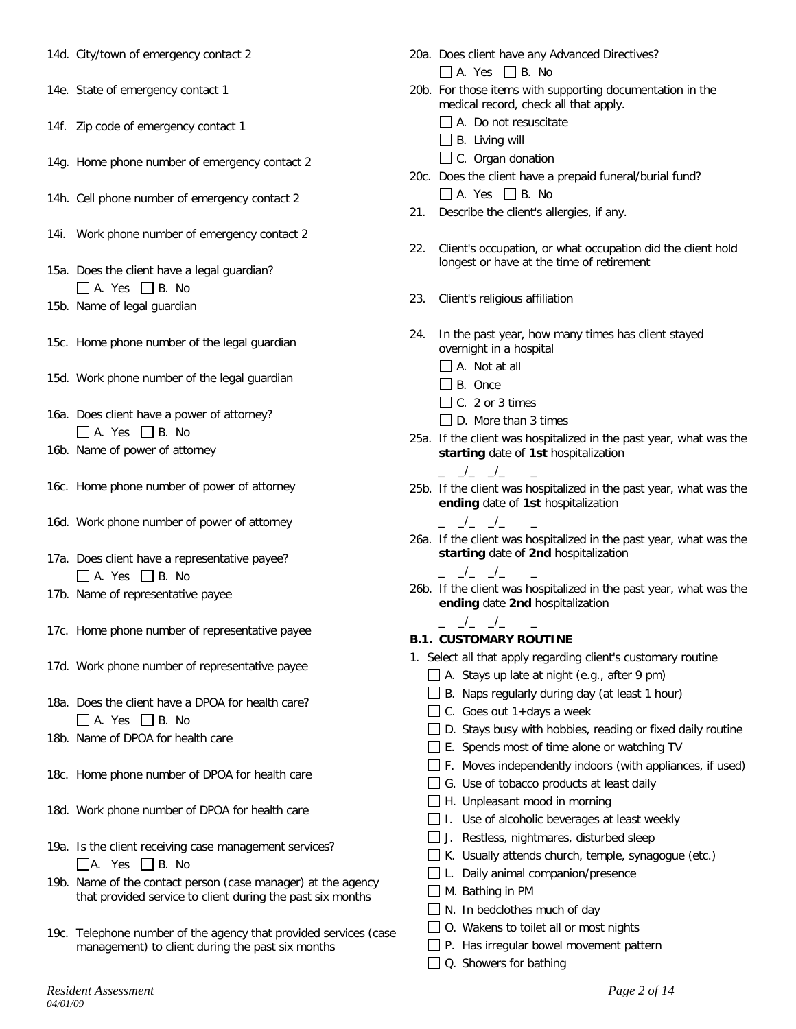- 14d. City/town of emergency contact 2
- 14e. State of emergency contact 1
- 14f. Zip code of emergency contact 1
- 14g. Home phone number of emergency contact 2
- 14h. Cell phone number of emergency contact 2
- 14i. Work phone number of emergency contact 2
- 15a. Does the client have a legal guardian?  $\Box$  A. Yes  $\Box$  B. No
- 15b. Name of legal guardian
- 15c. Home phone number of the legal guardian
- 15d. Work phone number of the legal guardian
- 16a. Does client have a power of attorney?  $\Box$  A. Yes  $\Box$  B. No
- 16b. Name of power of attorney
- 16c. Home phone number of power of attorney
- 16d. Work phone number of power of attorney
- 17a. Does client have a representative payee?  $\Box$  A. Yes  $\Box$  B. No
- 17b. Name of representative payee
- 17c. Home phone number of representative payee
- 17d. Work phone number of representative payee
- 18a. Does the client have a DPOA for health care?  $\Box$  A. Yes  $\Box$  B. No
- 18b. Name of DPOA for health care
- 18c. Home phone number of DPOA for health care
- 18d. Work phone number of DPOA for health care
- 19a. Is the client receiving case management services?  $\Box$ A. Yes  $\Box$  B. No
- 19b. Name of the contact person (case manager) at the agency that provided service to client during the past six months
- 19c. Telephone number of the agency that provided services (case management) to client during the past six months
- 20a. Does client have any Advanced Directives?  $\Box$  A. Yes  $\Box$  B. No
- 20b. For those items with supporting documentation in the medical record, check all that apply. A. Do not resuscitate
	- $\Box$  B. Living will
	-
	- $\Box$  C. Organ donation
- 20c. Does the client have a prepaid funeral/burial fund?  $\Box$  A. Yes  $\Box$  B. No
- 21. Describe the client's allergies, if any.
- 22. Client's occupation, or what occupation did the client hold longest or have at the time of retirement
- 23. Client's religious affiliation
- 24. In the past year, how many times has client stayed overnight in a hospital
	- A. Not at all
	- $\Box$  B. Once
	- $\Box$  C. 2 or 3 times
	- D. More than 3 times
- 25a. If the client was hospitalized in the past year, what was the **starting** date of **1st** hospitalization
	- \_ \_/\_ \_/\_ \_
- 25b. If the client was hospitalized in the past year, what was the **ending** date of **1st** hospitalization
	- \_ \_/\_ \_/\_ \_

 $\frac{\ }{\ }$   $\frac{\ }{\ }$   $\frac{\ }{\ }$   $\frac{\ }{\ }$ 

- 26a. If the client was hospitalized in the past year, what was the **starting** date of **2nd** hospitalization
- 26b. If the client was hospitalized in the past year, what was the **ending** date **2nd** hospitalization

#### $\overline{\phantom{a}}$   $\overline{\phantom{a}}$   $\overline{\phantom{a}}$   $\overline{\phantom{a}}$   $\overline{\phantom{a}}$   $\overline{\phantom{a}}$   $\overline{\phantom{a}}$   $\overline{\phantom{a}}$   $\overline{\phantom{a}}$   $\overline{\phantom{a}}$   $\overline{\phantom{a}}$   $\overline{\phantom{a}}$   $\overline{\phantom{a}}$   $\overline{\phantom{a}}$   $\overline{\phantom{a}}$   $\overline{\phantom{a}}$   $\overline{\phantom{a}}$   $\overline{\phantom{a}}$   $\overline{\$ **B.1. CUSTOMARY ROUTINE**

- 1. Select all that apply regarding client's customary routine
	- $\Box$  A. Stays up late at night (e.g., after 9 pm)
	- $\Box$  B. Naps regularly during day (at least 1 hour)
	- $\Box$  C. Goes out 1+days a week
	- $\Box$  D. Stays busy with hobbies, reading or fixed daily routine
	- E. Spends most of time alone or watching TV
	- $\Box$  F. Moves independently indoors (with appliances, if used)
	- $\Box$  G. Use of tobacco products at least daily
	- $\Box$  H. Unpleasant mood in morning
	- $\Box$  I. Use of alcoholic beverages at least weekly
	- $\Box$  J. Restless, nightmares, disturbed sleep
	- $\Box$  K. Usually attends church, temple, synagogue (etc.)
	- $\Box$  L. Daily animal companion/presence
	- M. Bathing in PM
	- $\Box$  N. In bedclothes much of day
	- ◯ 0. Wakens to toilet all or most nights
	- P. Has irregular bowel movement pattern
	- $\Box$  Q. Showers for bathing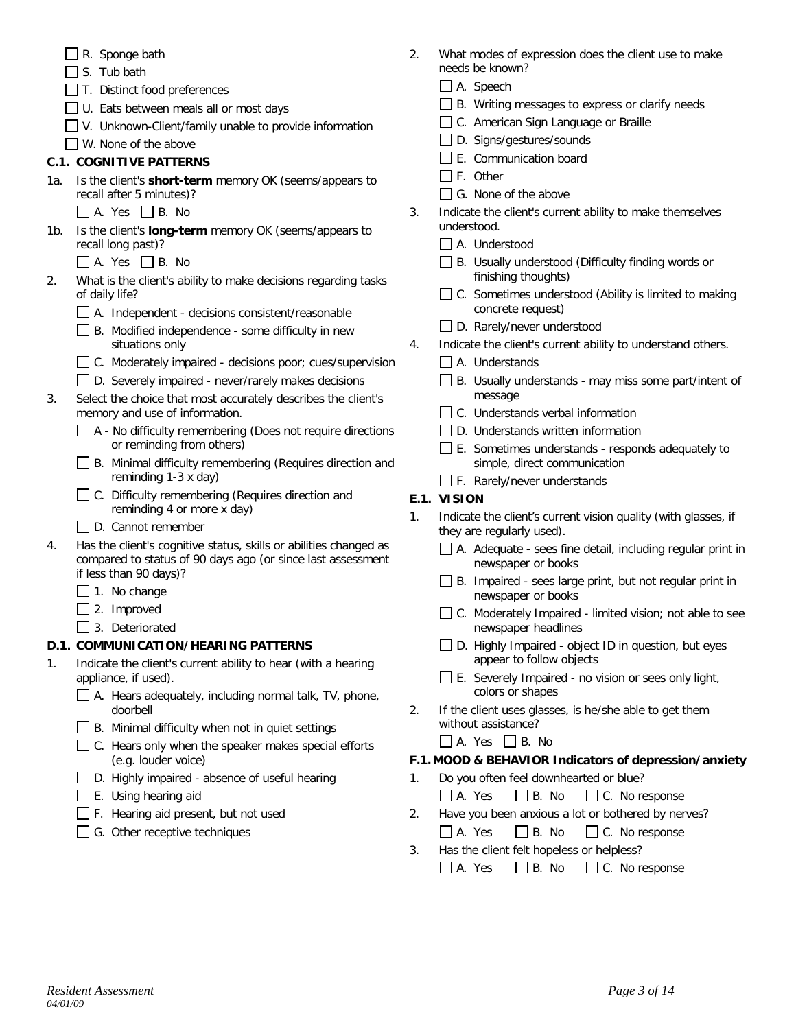|  | $\Box$ R. Sponge bath |  |
|--|-----------------------|--|
|  |                       |  |

- $\Box$  S. Tub bath
- $\Box$  T. Distinct food preferences
- □ U. Eats between meals all or most days
- $\Box$  V. Unknown-Client/family unable to provide information
- W. None of the above

# **C.1. COGNITIVE PATTERNS**

- 1a. Is the client's **short-term** memory OK (seems/appears to recall after 5 minutes)?
	- $\Box$  A. Yes  $\Box$  B. No
- 1b. Is the client's **long-term** memory OK (seems/appears to recall long past)?
	- $\Box$  A. Yes  $\Box$  B. No
- 2. What is the client's ability to make decisions regarding tasks of daily life?
	- $\Box$  A. Independent decisions consistent/reasonable
	- $\Box$  B. Modified independence some difficulty in new situations only
	- C. Moderately impaired decisions poor; cues/supervision
	- □ D. Severely impaired never/rarely makes decisions
- 3. Select the choice that most accurately describes the client's memory and use of information.
	- $\Box$  A No difficulty remembering (Does not require directions or reminding from others)
	- B. Minimal difficulty remembering (Requires direction and reminding 1-3 x day)
	- □ C. Difficulty remembering (Requires direction and reminding 4 or more x day)
	- D. Cannot remember
- 4. Has the client's cognitive status, skills or abilities changed as compared to status of 90 days ago (or since last assessment if less than 90 days)?
	- $\Box$  1. No change
	- $\Box$  2. Improved
	- 3. Deteriorated

# **D.1. COMMUNICATION/HEARING PATTERNS**

- 1. Indicate the client's current ability to hear (with a hearing appliance, if used).
	- $\Box$  A. Hears adequately, including normal talk, TV, phone, doorbell
	- $\Box$  B. Minimal difficulty when not in quiet settings
	- $\Box$  C. Hears only when the speaker makes special efforts (e.g. louder voice)
	- $\Box$  D. Highly impaired absence of useful hearing
	- $\Box$  E. Using hearing aid
	- $\Box$  F. Hearing aid present, but not used
	- G. Other receptive techniques
- 2. What modes of expression does the client use to make needs be known?
	- A. Speech
	- □ B. Writing messages to express or clarify needs
	- □ C. American Sign Language or Braille
	- D. Signs/gestures/sounds
	- $\Box$  E. Communication board
	- $\Box$  F. Other
	- G. None of the above
- 3. Indicate the client's current ability to make themselves understood.
	- $\Box$  A. Understood
	- □ B. Usually understood (Difficulty finding words or finishing thoughts)
	- $\Box$  C. Sometimes understood (Ability is limited to making concrete request)
	- D. Rarely/never understood
- 4. Indicate the client's current ability to understand others.
	- A. Understands
	- B. Usually understands may miss some part/intent of message
	- $\Box$  C. Understands verbal information
	- D. Understands written information
	- E. Sometimes understands responds adequately to simple, direct communication
	- $\Box$  F. Rarely/never understands

# **E.1. VISION**

- 1. Indicate the client's current vision quality (with glasses, if they are regularly used).
	- A. Adequate sees fine detail, including regular print in newspaper or books
	- $\Box$  B. Impaired sees large print, but not regular print in newspaper or books
	- $\Box$  C. Moderately Impaired limited vision; not able to see newspaper headlines
	- $\Box$  D. Highly Impaired object ID in question, but eyes appear to follow objects
	- $\square$  E. Severely Impaired no vision or sees only light, colors or shapes
- 2. If the client uses glasses, is he/she able to get them without assistance?
	- $\Box$  A. Yes  $\Box$  B. No

# **F.1. MOOD & BEHAVIOR Indicators of depression/anxiety**

- 1. Do you often feel downhearted or blue?
	- $\Box$  A. Yes  $\Box$  B. No  $\Box$  C. No response
- 2. Have you been anxious a lot or bothered by nerves?  $\Box$  A. Yes  $\Box$  B. No  $\Box$  C. No response
- 3. Has the client felt hopeless or helpless?
	- $\Box$  A. Yes  $\Box$  B. No  $\Box$  C. No response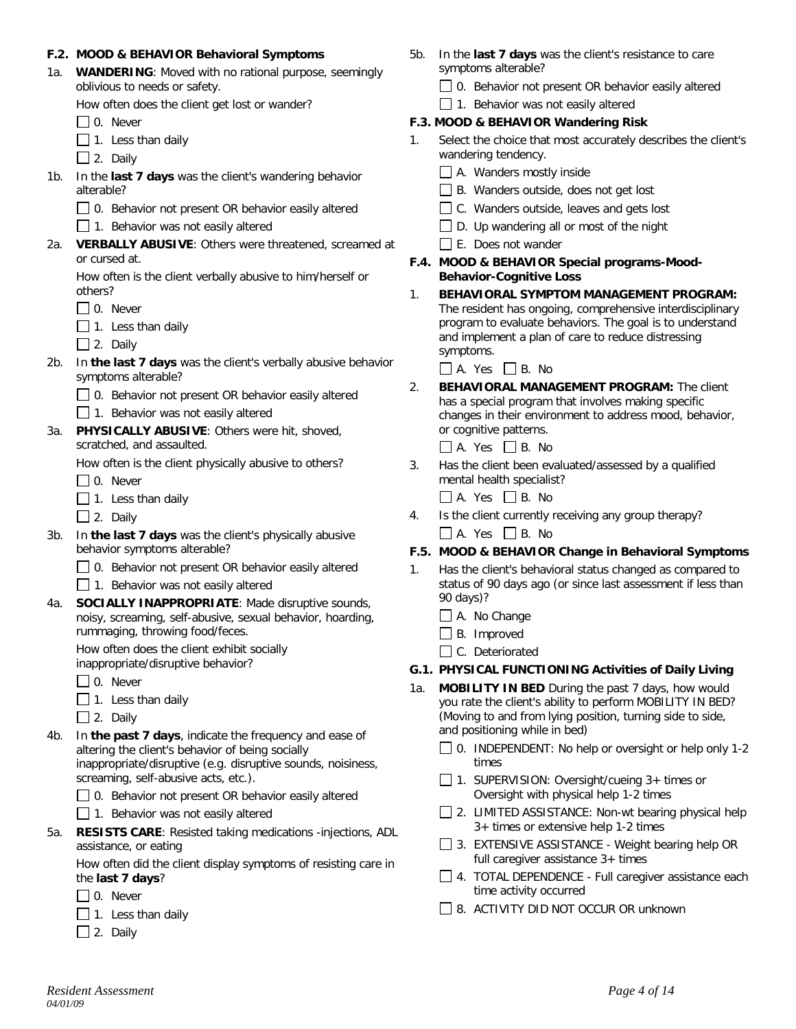#### **F.2. MOOD & BEHAVIOR Behavioral Symptoms**

1a. **WANDERING**: Moved with no rational purpose, seemingly oblivious to needs or safety.

How often does the client get lost or wander?

 $\Box$  0. Never

- $\Box$  1. Less than daily
- $\Box$  2. Daily
- 1b. In the **last 7 days** was the client's wandering behavior alterable?
	- $\Box$  0. Behavior not present OR behavior easily altered

 $\Box$  1. Behavior was not easily altered

2a. **VERBALLY ABUSIVE**: Others were threatened, screamed at or cursed at.

How often is the client verbally abusive to him/herself or others?

- $\Box$  0. Never
- $\Box$  1. Less than daily

 $\Box$  2. Daily

- 2b. In **the last 7 days** was the client's verbally abusive behavior symptoms alterable?
	- □ 0. Behavior not present OR behavior easily altered

 $\Box$  1. Behavior was not easily altered

3a. **PHYSICALLY ABUSIVE**: Others were hit, shoved, scratched, and assaulted.

How often is the client physically abusive to others?

 $\Box$  0. Never

- $\Box$  1. Less than daily
- $\Box$  2. Daily
- 3b. In **the last 7 days** was the client's physically abusive behavior symptoms alterable?
	- 0. Behavior not present OR behavior easily altered

 $\Box$  1. Behavior was not easily altered

4a. **SOCIALLY INAPPROPRIATE**: Made disruptive sounds, noisy, screaming, self-abusive, sexual behavior, hoarding, rummaging, throwing food/feces.

How often does the client exhibit socially inappropriate/disruptive behavior?

 $\Box$  0. Never

 $\Box$  1. Less than daily

 $\Box$  2. Daily

4b. In **the past 7 days**, indicate the frequency and ease of altering the client's behavior of being socially inappropriate/disruptive (e.g. disruptive sounds, noisiness, screaming, self-abusive acts, etc.).

 $\Box$  0. Behavior not present OR behavior easily altered

- $\Box$  1. Behavior was not easily altered
- 5a. **RESISTS CARE**: Resisted taking medications -injections, ADL assistance, or eating

How often did the client display symptoms of resisting care in the **last 7 days**?

- □ 0. Never
- $\Box$  1. Less than daily
- $\Box$  2. Daily
- 5b. In the **last 7 days** was the client's resistance to care symptoms alterable?
	- $\Box$  0. Behavior not present OR behavior easily altered

 $\Box$  1. Behavior was not easily altered

#### **F.3. MOOD & BEHAVIOR Wandering Risk**

- 1. Select the choice that most accurately describes the client's wandering tendency.
	- $\Box$  A. Wanders mostly inside
	- $\Box$  B. Wanders outside, does not get lost
	- $\Box$  C. Wanders outside, leaves and gets lost
	- $\Box$  D. Up wandering all or most of the night
	- E. Does not wander
- **F.4. MOOD & BEHAVIOR Special programs-Mood-Behavior-Cognitive Loss**
- 1. **BEHAVIORAL SYMPTOM MANAGEMENT PROGRAM:** The resident has ongoing, comprehensive interdisciplinary program to evaluate behaviors. The goal is to understand and implement a plan of care to reduce distressing symptoms.

 $\Box$  A. Yes  $\Box$  B. No

2. **BEHAVIORAL MANAGEMENT PROGRAM:** The client has a special program that involves making specific changes in their environment to address mood, behavior, or cognitive patterns.

 $\Box$  A. Yes  $\Box$  B. No

3. Has the client been evaluated/assessed by a qualified mental health specialist?

 $\Box$  A. Yes  $\Box$  B. No

4. Is the client currently receiving any group therapy?  $\Box$  A. Yes  $\Box$  B. No

#### **F.5. MOOD & BEHAVIOR Change in Behavioral Symptoms**

- 1. Has the client's behavioral status changed as compared to status of 90 days ago (or since last assessment if less than 90 days)?
	- $\Box$  A. No Change
	- $\Box$  B. Improved
	- □ C. Deteriorated

#### **G.1. PHYSICAL FUNCTIONING Activities of Daily Living**

- 1a. **MOBILITY IN BED** During the past 7 days, how would you rate the client's ability to perform MOBILITY IN BED? (Moving to and from lying position, turning side to side, and positioning while in bed)
	- $\Box$  0. INDEPENDENT: No help or oversight or help only 1-2 times
	- □ 1. SUPERVISION: Oversight/cueing 3+ times or Oversight with physical help 1-2 times
	- $\Box$  2. LIMITED ASSISTANCE: Non-wt bearing physical help 3+ times or extensive help 1-2 times
	- 3. EXTENSIVE ASSISTANCE Weight bearing help OR full caregiver assistance 3+ times
	- 4. TOTAL DEPENDENCE Full caregiver assistance each time activity occurred
	- 8. ACTIVITY DID NOT OCCUR OR unknown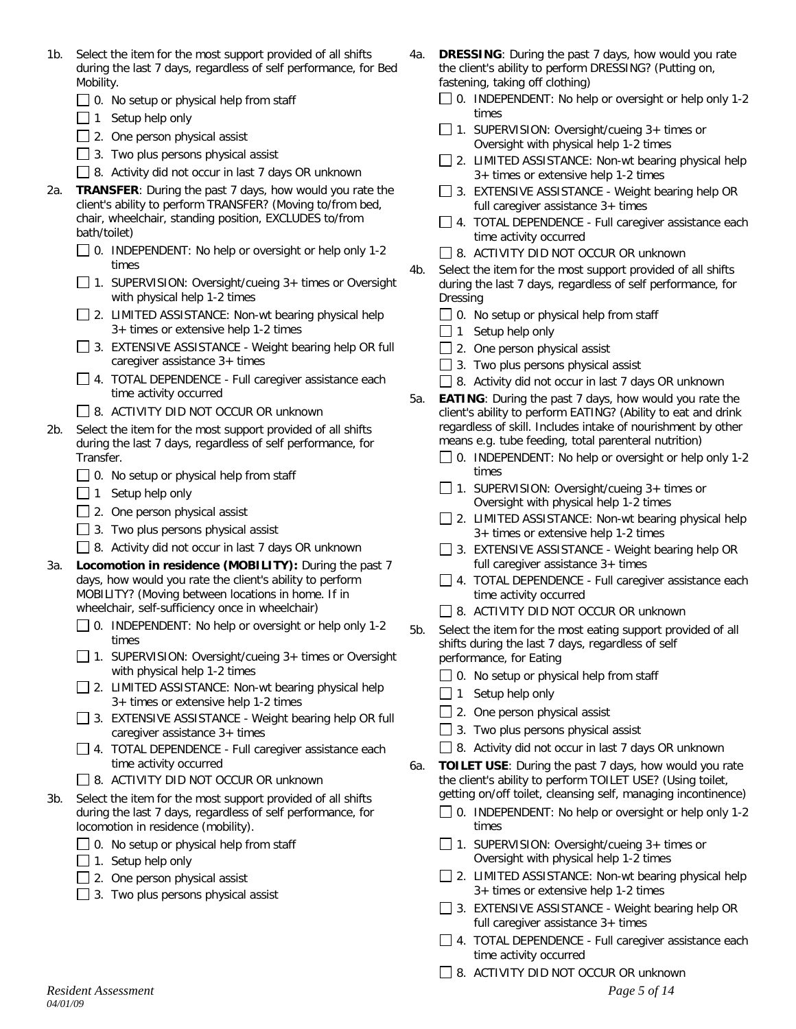- 1b. Select the item for the most support provided of all shifts during the last 7 days, regardless of self performance, for Bed Mobility.
	- $\Box$  0. No setup or physical help from staff
	- $\Box$  1 Setup help only
	- $\Box$  2. One person physical assist
	- $\Box$  3. Two plus persons physical assist
	- 8. Activity did not occur in last 7 days OR unknown
- 2a. **TRANSFER**: During the past 7 days, how would you rate the client's ability to perform TRANSFER? (Moving to/from bed, chair, wheelchair, standing position, EXCLUDES to/from bath/toilet)
	- 0. INDEPENDENT: No help or oversight or help only 1-2 times
	- 1. SUPERVISION: Oversight/cueing 3+ times or Oversight with physical help 1-2 times
	- $\Box$  2. LIMITED ASSISTANCE: Non-wt bearing physical help 3+ times or extensive help 1-2 times
	- 3. EXTENSIVE ASSISTANCE Weight bearing help OR full caregiver assistance 3+ times
	- 4. TOTAL DEPENDENCE Full caregiver assistance each time activity occurred
	- □ 8. ACTIVITY DID NOT OCCUR OR unknown
- 2b. Select the item for the most support provided of all shifts during the last 7 days, regardless of self performance, for Transfer.
	- $\Box$  0. No setup or physical help from staff
	- $\Box$  1 Setup help only
	- $\Box$  2. One person physical assist
	- $\Box$  3. Two plus persons physical assist
	- 8. Activity did not occur in last 7 days OR unknown
- 3a. **Locomotion in residence (MOBILITY):** During the past 7 days, how would you rate the client's ability to perform MOBILITY? (Moving between locations in home. If in wheelchair, self-sufficiency once in wheelchair)
	- $\Box$  0. INDEPENDENT: No help or oversight or help only 1-2 times
	- □ 1. SUPERVISION: Oversight/cueing 3+ times or Oversight with physical help 1-2 times
	- $\Box$  2. LIMITED ASSISTANCE: Non-wt bearing physical help 3+ times or extensive help 1-2 times
	- $\Box$  3. EXTENSIVE ASSISTANCE Weight bearing help OR full caregiver assistance 3+ times
	- □ 4. TOTAL DEPENDENCE Full caregiver assistance each time activity occurred
	- **B.** ACTIVITY DID NOT OCCUR OR unknown
- 3b. Select the item for the most support provided of all shifts during the last 7 days, regardless of self performance, for locomotion in residence (mobility).
	- $\Box$  0. No setup or physical help from staff
	- $\Box$  1. Setup help only
	- $\Box$  2. One person physical assist
	- $\Box$  3. Two plus persons physical assist
- 4a. **DRESSING**: During the past 7 days, how would you rate the client's ability to perform DRESSING? (Putting on, fastening, taking off clothing)
	- $\Box$  0. INDEPENDENT: No help or oversight or help only 1-2 times
	- $\Box$  1. SUPERVISION: Oversight/cueing 3+ times or Oversight with physical help 1-2 times
	- $\Box$  2. LIMITED ASSISTANCE: Non-wt bearing physical help 3+ times or extensive help 1-2 times
	- $\Box$  3. EXTENSIVE ASSISTANCE Weight bearing help OR full caregiver assistance 3+ times
	- $\Box$  4. TOTAL DEPENDENCE Full caregiver assistance each time activity occurred
	- □ 8. ACTIVITY DID NOT OCCUR OR unknown
- 4b. Select the item for the most support provided of all shifts during the last 7 days, regardless of self performance, for Dressing
	- $\Box$  0. No setup or physical help from staff
	- $\Box$  1 Setup help only
	- $\Box$  2. One person physical assist
	- $\Box$  3. Two plus persons physical assist
	- $\Box$  8. Activity did not occur in last 7 days OR unknown
- 5a. **EATING**: During the past 7 days, how would you rate the client's ability to perform EATING? (Ability to eat and drink regardless of skill. Includes intake of nourishment by other means e.g. tube feeding, total parenteral nutrition)
	- □ 0. INDEPENDENT: No help or oversight or help only 1-2 times
	- 1. SUPERVISION: Oversight/cueing  $3+$  times or Oversight with physical help 1-2 times
	- $\Box$  2. LIMITED ASSISTANCE: Non-wt bearing physical help 3+ times or extensive help 1-2 times
	- □ 3. EXTENSIVE ASSISTANCE Weight bearing help OR full caregiver assistance 3+ times
	- $\Box$  4. TOTAL DEPENDENCE Full caregiver assistance each time activity occurred
	- **8. ACTIVITY DID NOT OCCUR OR unknown**
- 5b. Select the item for the most eating support provided of all shifts during the last 7 days, regardless of self performance, for Eating
	- $\Box$  0. No setup or physical help from staff
	- $\Box$  1 Setup help only
	- $\Box$  2. One person physical assist
	- $\Box$  3. Two plus persons physical assist
	- $\Box$  8. Activity did not occur in last 7 days OR unknown
- 6a. **TOILET USE**: During the past 7 days, how would you rate the client's ability to perform TOILET USE? (Using toilet, getting on/off toilet, cleansing self, managing incontinence)
	- $\Box$  0. INDEPENDENT: No help or oversight or help only 1-2 times
	- 1. SUPERVISION: Oversight/cueing  $3+$  times or Oversight with physical help 1-2 times
	- □ 2. LIMITED ASSISTANCE: Non-wt bearing physical help 3+ times or extensive help 1-2 times
	- $\Box$  3. EXTENSIVE ASSISTANCE Weight bearing help OR full caregiver assistance 3+ times
	- 4. TOTAL DEPENDENCE Full caregiver assistance each time activity occurred
	- **8. ACTIVITY DID NOT OCCUR OR unknown**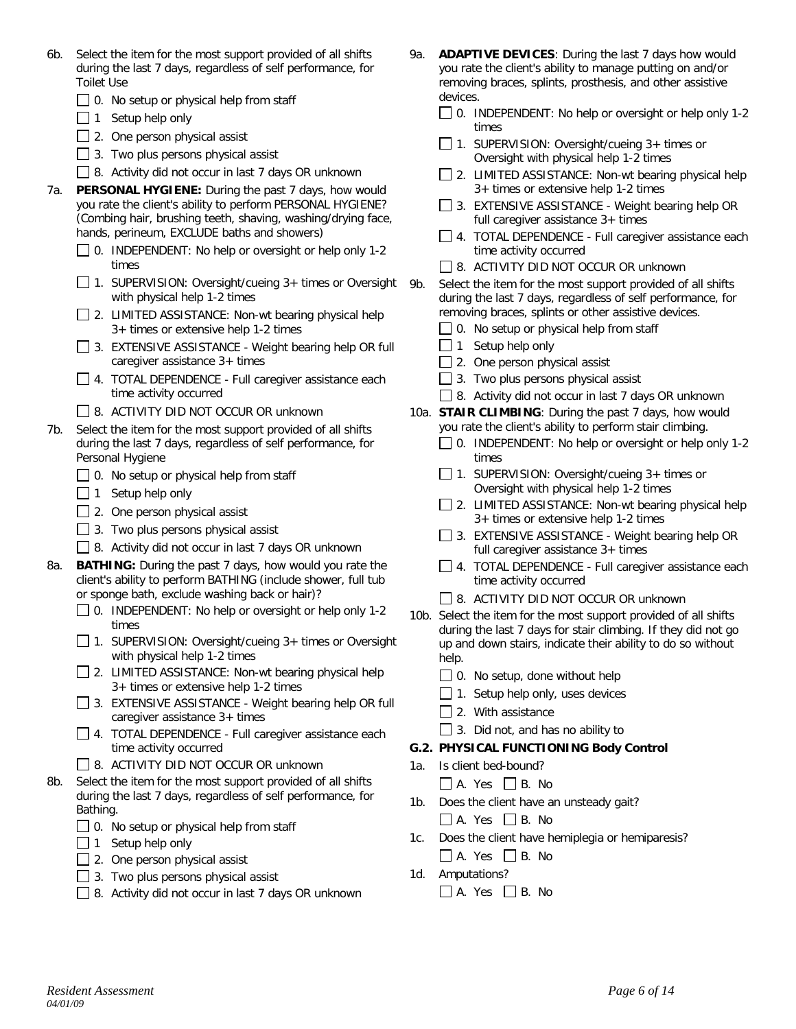- 6b. Select the item for the most support provided of all shifts during the last 7 days, regardless of self performance, for Toilet Use
	- $\Box$  0. No setup or physical help from staff
	- $\Box$  1 Setup help only
	- $\Box$  2. One person physical assist
	- $\Box$  3. Two plus persons physical assist
	- □ 8. Activity did not occur in last 7 days OR unknown
- 7a. **PERSONAL HYGIENE:** During the past 7 days, how would you rate the client's ability to perform PERSONAL HYGIENE? (Combing hair, brushing teeth, shaving, washing/drying face, hands, perineum, EXCLUDE baths and showers)
	- □ 0. INDEPENDENT: No help or oversight or help only 1-2 times
	- 1. SUPERVISION: Oversight/cueing  $3+$  times or Oversight with physical help 1-2 times
	- $\Box$  2. LIMITED ASSISTANCE: Non-wt bearing physical help 3+ times or extensive help 1-2 times
	- 3. EXTENSIVE ASSISTANCE Weight bearing help OR full caregiver assistance 3+ times
	- □ 4. TOTAL DEPENDENCE Full caregiver assistance each time activity occurred
	- □ 8. ACTIVITY DID NOT OCCUR OR unknown
- 7b. Select the item for the most support provided of all shifts during the last 7 days, regardless of self performance, for Personal Hygiene
	- $\Box$  0. No setup or physical help from staff
	- $\Box$  1 Setup help only
	- $\Box$  2. One person physical assist
	- $\Box$  3. Two plus persons physical assist
	- 8. Activity did not occur in last 7 days OR unknown
- 8a. **BATHING:** During the past 7 days, how would you rate the client's ability to perform BATHING (include shower, full tub or sponge bath, exclude washing back or hair)?
	- $\Box$  0. INDEPENDENT: No help or oversight or help only 1-2 times
	- □ 1. SUPERVISION: Oversight/cueing 3+ times or Oversight with physical help 1-2 times
	- $\Box$  2. LIMITED ASSISTANCE: Non-wt bearing physical help 3+ times or extensive help 1-2 times
	- □ 3. EXTENSIVE ASSISTANCE Weight bearing help OR full caregiver assistance 3+ times
	- □ 4. TOTAL DEPENDENCE Full caregiver assistance each time activity occurred
	- □ 8. ACTIVITY DID NOT OCCUR OR unknown
- 8b. Select the item for the most support provided of all shifts during the last 7 days, regardless of self performance, for Bathing.
	- $\Box$  0. No setup or physical help from staff
	- $\Box$  1 Setup help only
	- $\Box$  2. One person physical assist
	- $\Box$  3. Two plus persons physical assist
	- □ 8. Activity did not occur in last 7 days OR unknown
- 9a. **ADAPTIVE DEVICES**: During the last 7 days how would you rate the client's ability to manage putting on and/or removing braces, splints, prosthesis, and other assistive devices.
	- 0. INDEPENDENT: No help or oversight or help only 1-2 times
	- $\Box$  1. SUPERVISION: Oversight/cueing 3+ times or Oversight with physical help 1-2 times
	- $\Box$  2. LIMITED ASSISTANCE: Non-wt bearing physical help 3+ times or extensive help 1-2 times
	- $\Box$  3. EXTENSIVE ASSISTANCE Weight bearing help OR full caregiver assistance 3+ times
	- 4. TOTAL DEPENDENCE Full caregiver assistance each time activity occurred
	- □ 8. ACTIVITY DID NOT OCCUR OR unknown
- 9b. Select the item for the most support provided of all shifts during the last 7 days, regardless of self performance, for removing braces, splints or other assistive devices.
	- $\Box$  0. No setup or physical help from staff
	- $\Box$  1 Setup help only
	- $\Box$  2. One person physical assist
	- $\Box$  3. Two plus persons physical assist
	- 8. Activity did not occur in last 7 days OR unknown
- 10a. **STAIR CLIMBING**: During the past 7 days, how would you rate the client's ability to perform stair climbing.
	- □ 0. INDEPENDENT: No help or oversight or help only 1-2 times
	- $\Box$  1. SUPERVISION: Oversight/cueing 3+ times or Oversight with physical help 1-2 times
	- $\Box$  2. LIMITED ASSISTANCE: Non-wt bearing physical help 3+ times or extensive help 1-2 times
	- $\Box$  3. EXTENSIVE ASSISTANCE Weight bearing help OR full caregiver assistance 3+ times
	- $\Box$  4. TOTAL DEPENDENCE Full caregiver assistance each time activity occurred
	- □ 8. ACTIVITY DID NOT OCCUR OR unknown
- 10b. Select the item for the most support provided of all shifts during the last 7 days for stair climbing. If they did not go up and down stairs, indicate their ability to do so without help.
	- $\Box$  0. No setup, done without help
	- $\Box$  1. Setup help only, uses devices
	- $\Box$  2. With assistance
	- $\Box$  3. Did not, and has no ability to

## **G.2. PHYSICAL FUNCTIONING Body Control**

- 1a. Is client bed-bound?
	- $\Box$  A. Yes  $\Box$  B. No
- 1b. Does the client have an unsteady gait?
	- $\Box$  A. Yes  $\Box$  B. No
- 1c. Does the client have hemiplegia or hemiparesis?  $\Box$  A. Yes  $\Box$  B. No
- 1d. Amputations?
	- $\Box$  A. Yes  $\Box$  B. No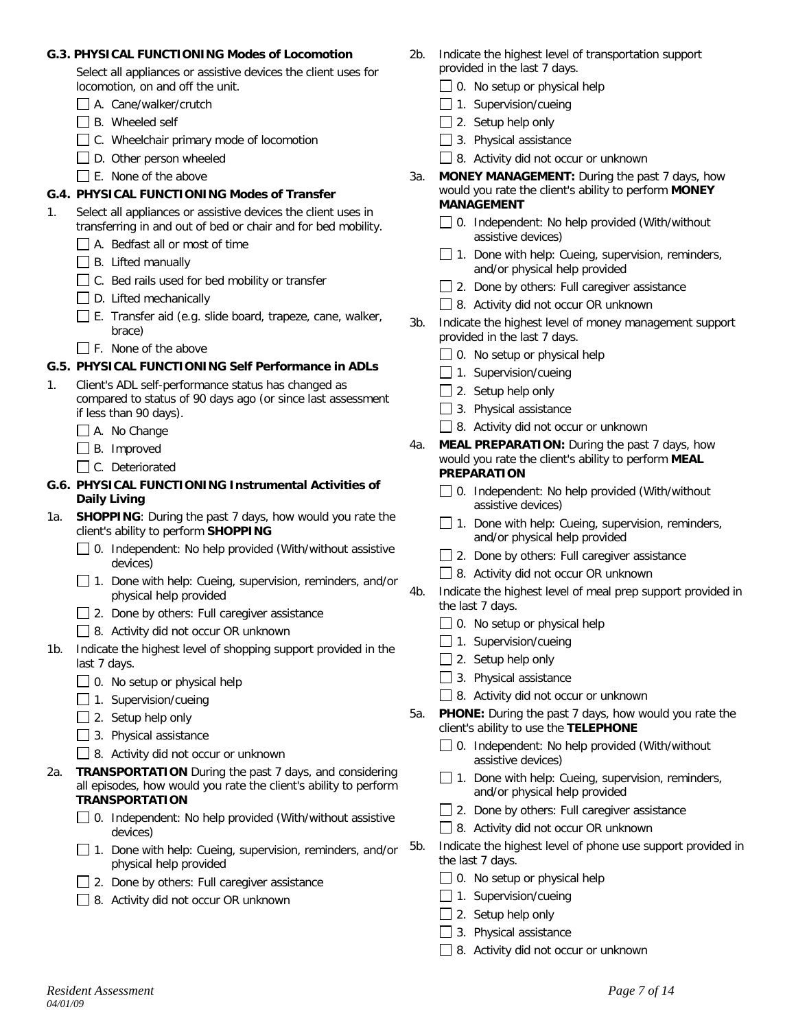#### **G.3. PHYSICAL FUNCTIONING Modes of Locomotion**

Select all appliances or assistive devices the client uses for locomotion, on and off the unit.

- A. Cane/walker/crutch
- $\Box$  B. Wheeled self
- C. Wheelchair primary mode of locomotion
- $\Box$  D. Other person wheeled
- $\Box$  E. None of the above

### **G.4. PHYSICAL FUNCTIONING Modes of Transfer**

- 1. Select all appliances or assistive devices the client uses in transferring in and out of bed or chair and for bed mobility.
	- $\Box$  A. Bedfast all or most of time
	- $\Box$  B. Lifted manually
	- $\Box$  C. Bed rails used for bed mobility or transfer
	- D. Lifted mechanically
	- $\Box$  E. Transfer aid (e.g. slide board, trapeze, cane, walker, brace)
	- F. None of the above

### **G.5. PHYSICAL FUNCTIONING Self Performance in ADLs**

- 1. Client's ADL self-performance status has changed as compared to status of 90 days ago (or since last assessment if less than 90 days).
	- A. No Change
	- B. Improved
	- C. Deteriorated
- **G.6. PHYSICAL FUNCTIONING Instrumental Activities of Daily Living**
- 1a. **SHOPPING**: During the past 7 days, how would you rate the client's ability to perform **SHOPPING**
	- $\Box$  0. Independent: No help provided (With/without assistive devices)
	- $\Box$  1. Done with help: Cueing, supervision, reminders, and/or physical help provided
	- $\Box$  2. Done by others: Full caregiver assistance
	- □ 8. Activity did not occur OR unknown
- 1b. Indicate the highest level of shopping support provided in the last 7 days.
	- $\Box$  0. No setup or physical help
	- $\Box$  1. Supervision/cueing
	- $\Box$  2. Setup help only
	- $\Box$  3. Physical assistance
	- 8. Activity did not occur or unknown
- 2a. **TRANSPORTATION** During the past 7 days, and considering all episodes, how would you rate the client's ability to perform **TRANSPORTATION**
	- 0. Independent: No help provided (With/without assistive devices)
	- $\Box$  1. Done with help: Cueing, supervision, reminders, and/or physical help provided
	- □ 2. Done by others: Full caregiver assistance
	- □ 8. Activity did not occur OR unknown
- 2b. Indicate the highest level of transportation support provided in the last 7 days.
	- $\Box$  0. No setup or physical help
	- $\Box$  1. Supervision/cueing
	- $\Box$  2. Setup help only
	- $\Box$  3. Physical assistance
	- 8. Activity did not occur or unknown
- 3a. **MONEY MANAGEMENT:** During the past 7 days, how would you rate the client's ability to perform **MONEY MANAGEMENT**
	- $\Box$  0. Independent: No help provided (With/without assistive devices)
	- $\Box$  1. Done with help: Cueing, supervision, reminders, and/or physical help provided
	- □ 2. Done by others: Full caregiver assistance
	- 8. Activity did not occur OR unknown
- 3b. Indicate the highest level of money management support provided in the last 7 days.
	- $\Box$  0. No setup or physical help
	- $\Box$  1. Supervision/cueing
	- $\Box$  2. Setup help only
	- $\Box$  3. Physical assistance
	- 8. Activity did not occur or unknown
- 4a. **MEAL PREPARATION:** During the past 7 days, how would you rate the client's ability to perform **MEAL PREPARATION**
	- 0. Independent: No help provided (With/without assistive devices)
	- $\Box$  1. Done with help: Cueing, supervision, reminders, and/or physical help provided
	- □ 2. Done by others: Full caregiver assistance
	- 8. Activity did not occur OR unknown
- 4b. Indicate the highest level of meal prep support provided in the last 7 days.
	- $\Box$  0. No setup or physical help
	- $\Box$  1. Supervision/cueing
	- $\Box$  2. Setup help only
	- 3. Physical assistance
	- 8. Activity did not occur or unknown
- 5a. **PHONE:** During the past 7 days, how would you rate the client's ability to use the **TELEPHONE**
	- $\Box$  0. Independent: No help provided (With/without assistive devices)
	- $\Box$  1. Done with help: Cueing, supervision, reminders, and/or physical help provided
	- $\Box$  2. Done by others: Full caregiver assistance
	- □ 8. Activity did not occur OR unknown
- 5b. Indicate the highest level of phone use support provided in the last 7 days.
	- $\Box$  0. No setup or physical help
	- $\Box$  1. Supervision/cueing
	- $\Box$  2. Setup help only
	- $\Box$  3. Physical assistance
	- 8. Activity did not occur or unknown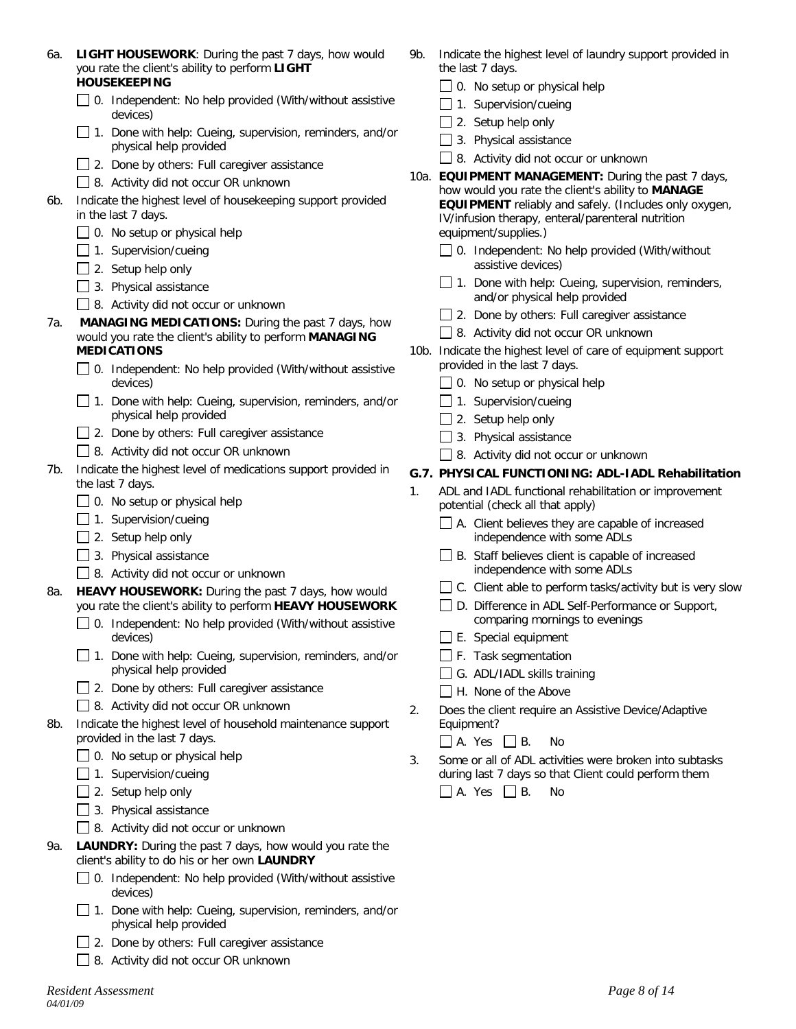| 6а. | <b>LIGHT HOUSEWORK:</b> During the past 7 days, how would |
|-----|-----------------------------------------------------------|
|     | you rate the client's ability to perform <b>LIGHT</b>     |
|     | <b>HOUSEKEEPING</b>                                       |

- □ 0. Independent: No help provided (With/without assistive devices)
- $\Box$  1. Done with help: Cueing, supervision, reminders, and/or physical help provided
- $\Box$  2. Done by others: Full caregiver assistance
- 8. Activity did not occur OR unknown
- 6b. Indicate the highest level of housekeeping support provided in the last 7 days.
	- $\Box$  0. No setup or physical help
	- $\Box$  1. Supervision/cueing
	- $\Box$  2. Setup help only
	- $\Box$  3. Physical assistance
	- 8. Activity did not occur or unknown
- 7a. **MANAGING MEDICATIONS:** During the past 7 days, how would you rate the client's ability to perform **MANAGING MEDICATIONS**
	- $\Box$  0. Independent: No help provided (With/without assistive devices)
	- $\Box$  1. Done with help: Cueing, supervision, reminders, and/or physical help provided
	- $\Box$  2. Done by others: Full caregiver assistance
	- 8. Activity did not occur OR unknown
- 7b. Indicate the highest level of medications support provided in the last 7 days.
	- $\Box$  0. No setup or physical help
	- $\Box$  1. Supervision/cueing
	- $\Box$  2. Setup help only
	- $\Box$  3. Physical assistance
	- 8. Activity did not occur or unknown
- 8a. **HEAVY HOUSEWORK:** During the past 7 days, how would you rate the client's ability to perform **HEAVY HOUSEWORK**
	- $\Box$  0. Independent: No help provided (With/without assistive devices)
	- $\Box$  1. Done with help: Cueing, supervision, reminders, and/or physical help provided
	- $\Box$  2. Done by others: Full caregiver assistance
	- □ 8. Activity did not occur OR unknown
- 8b. Indicate the highest level of household maintenance support provided in the last 7 days.
	- $\Box$  0. No setup or physical help
	- $\Box$  1. Supervision/cueing
	- $\Box$  2. Setup help only
	- $\Box$  3. Physical assistance
	- 8. Activity did not occur or unknown
- 9a. **LAUNDRY:** During the past 7 days, how would you rate the client's ability to do his or her own **LAUNDRY**
	- $\Box$  0. Independent: No help provided (With/without assistive devices)
	- 1. Done with help: Cueing, supervision, reminders, and/or physical help provided
	- □ 2. Done by others: Full caregiver assistance
	- 8. Activity did not occur OR unknown
- 9b. Indicate the highest level of laundry support provided in the last 7 days.
	- $\Box$  0. No setup or physical help
	- $\Box$  1. Supervision/cueing
	- $\Box$  2. Setup help only
	- 3. Physical assistance
	- 8. Activity did not occur or unknown
- 10a. **EQUIPMENT MANAGEMENT:** During the past 7 days, how would you rate the client's ability to **MANAGE EQUIPMENT** reliably and safely. (Includes only oxygen, IV/infusion therapy, enteral/parenteral nutrition equipment/supplies.)
	- $\Box$  0. Independent: No help provided (With/without assistive devices)
	- $\Box$  1. Done with help: Cueing, supervision, reminders, and/or physical help provided
	- □ 2. Done by others: Full caregiver assistance
	- 8. Activity did not occur OR unknown
- 10b. Indicate the highest level of care of equipment support provided in the last 7 days.
	- $\Box$  0. No setup or physical help
	- $\Box$  1. Supervision/cueing
	- $\Box$  2. Setup help only
	- $\Box$  3. Physical assistance
	- 8. Activity did not occur or unknown

# **G.7. PHYSICAL FUNCTIONING: ADL-IADL Rehabilitation**

- 1. ADL and IADL functional rehabilitation or improvement potential (check all that apply)
	- $\Box$  A. Client believes they are capable of increased independence with some ADLs
	- □ B. Staff believes client is capable of increased independence with some ADLs
	- $\Box$  C. Client able to perform tasks/activity but is very slow
	- □ D. Difference in ADL Self-Performance or Support, comparing mornings to evenings
	- $\Box$  E. Special equipment
	- $\Box$  F. Task segmentation
	- $\Box$  G. ADL/IADL skills training
	- H. None of the Above
- 2. Does the client require an Assistive Device/Adaptive Equipment?

 $\Box$  A. Yes  $\Box$  B. No

3. Some or all of ADL activities were broken into subtasks during last 7 days so that Client could perform them  $\Box$  A. Yes  $\Box$  B. No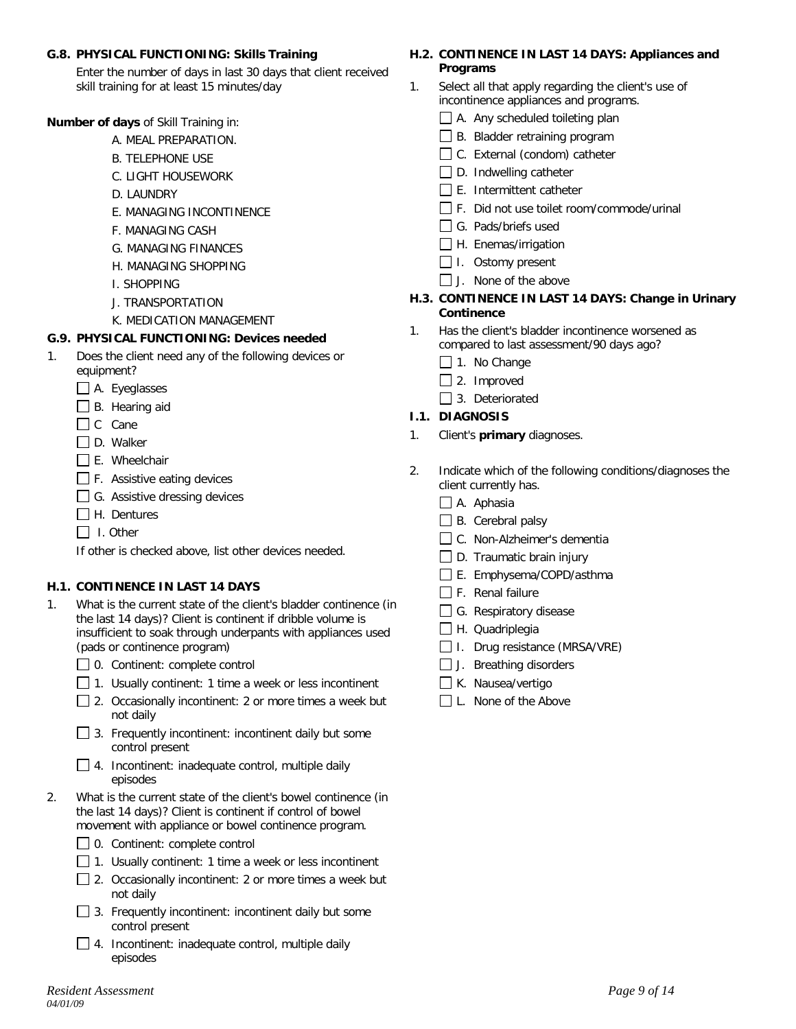#### **G.8. PHYSICAL FUNCTIONING: Skills Training**

Enter the number of days in last 30 days that client received skill training for at least 15 minutes/day

**Number of days** of Skill Training in:

- A. MEAL PREPARATION.
- B. TELEPHONE USE
- C. LIGHT HOUSEWORK
- D. LAUNDRY
- E. MANAGING INCONTINENCE
- F. MANAGING CASH
- G. MANAGING FINANCES
- H. MANAGING SHOPPING
- I. SHOPPING
- J. TRANSPORTATION
- K. MEDICATION MANAGEMENT

#### **G.9. PHYSICAL FUNCTIONING: Devices needed**

- 1. Does the client need any of the following devices or equipment?
	- A. Eyeglasses
	- $\Box$  B. Hearing aid
	- $\Box$  C Cane
	- $\Box$  D. Walker
	- $\Box$  E. Wheelchair
	- F. Assistive eating devices
	- $\Box$  G. Assistive dressing devices
	- $\Box$  H. Dentures
	- $\Box$  I. Other

If other is checked above, list other devices needed.

#### **H.1. CONTINENCE IN LAST 14 DAYS**

- 1. What is the current state of the client's bladder continence (in the last 14 days)? Client is continent if dribble volume is insufficient to soak through underpants with appliances used (pads or continence program)
	- □ 0. Continent: complete control
	- $\Box$  1. Usually continent: 1 time a week or less incontinent
	- $\Box$  2. Occasionally incontinent: 2 or more times a week but not daily
	- $\Box$  3. Frequently incontinent: incontinent daily but some control present
	- □ 4. Incontinent: inadequate control, multiple daily episodes
- 2. What is the current state of the client's bowel continence (in the last 14 days)? Client is continent if control of bowel movement with appliance or bowel continence program.
	- □ 0. Continent: complete control
	- $\Box$  1. Usually continent: 1 time a week or less incontinent
	- □ 2. Occasionally incontinent: 2 or more times a week but not daily
	- $\Box$  3. Frequently incontinent: incontinent daily but some control present
	- $\Box$  4. Incontinent: inadequate control, multiple daily episodes

### **H.2. CONTINENCE IN LAST 14 DAYS: Appliances and Programs**

- 1. Select all that apply regarding the client's use of incontinence appliances and programs.
	- $\Box$  A. Any scheduled toileting plan
	- B. Bladder retraining program
	- □ C. External (condom) catheter
	- $\Box$  D. Indwelling catheter
	- $\Box$  E. Intermittent catheter
	- □ F. Did not use toilet room/commode/urinal
	- G. Pads/briefs used
	- $\Box$  H. Enemas/irrigation
	- $\Box$  I. Ostomy present
	- $\Box$  J. None of the above

#### **H.3. CONTINENCE IN LAST 14 DAYS: Change in Urinary Continence**

- 1. Has the client's bladder incontinence worsened as compared to last assessment/90 days ago?
	- $\Box$  1. No Change
	- $\Box$  2. Improved
	- □ 3. Deteriorated

### **I.1. DIAGNOSIS**

- 1. Client's **primary** diagnoses.
- 2. Indicate which of the following conditions/diagnoses the client currently has.
	- $\Box$  A. Aphasia
	- $\Box$  B. Cerebral palsy
	- C. Non-Alzheimer's dementia
	- $\Box$  D. Traumatic brain injury
	- E. Emphysema/COPD/asthma
	- $\Box$  F. Renal failure
	- G. Respiratory disease
	- H. Quadriplegia
	- $\Box$  I. Drug resistance (MRSA/VRE)
	- $\Box$  J. Breathing disorders
	- K. Nausea/vertigo
	- L. None of the Above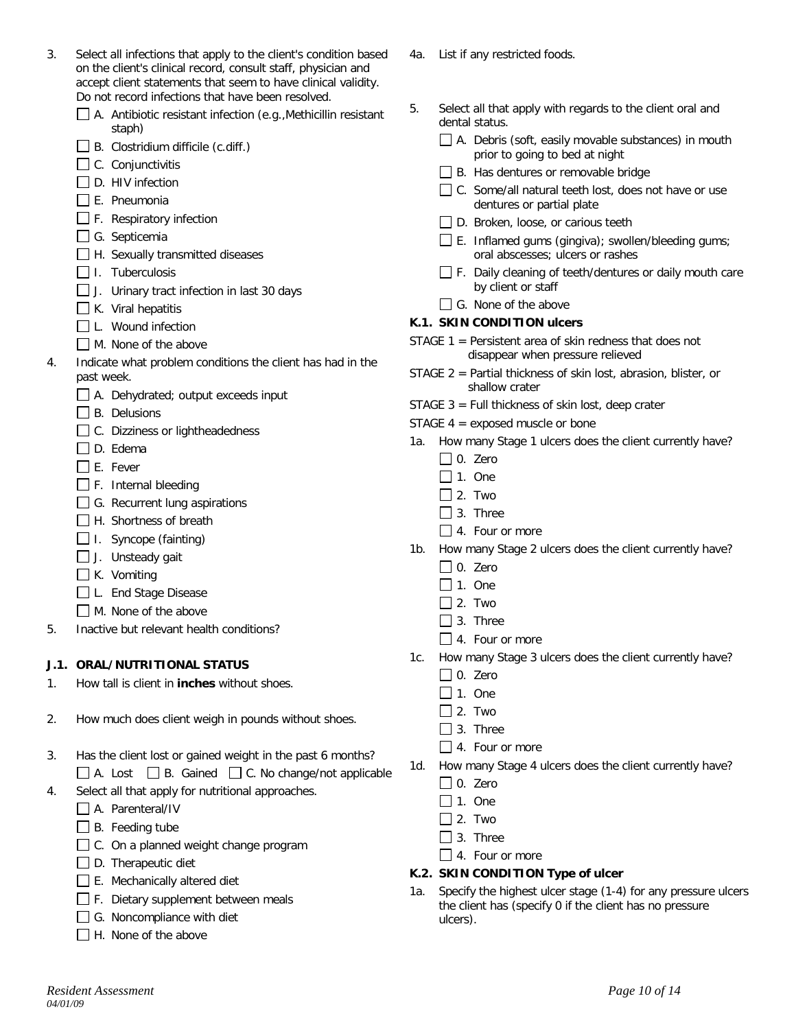| 3. | Select all infections that apply to the client's condition based<br>on the client's clinical record, consult staff, physician and<br>accept client statements that seem to have clinical validity.<br>Do not record infections that have been resolved. |
|----|---------------------------------------------------------------------------------------------------------------------------------------------------------------------------------------------------------------------------------------------------------|
|    | A Antibiotic resistant infection (e.g. Methicillin resistant                                                                                                                                                                                            |

- A. Antibiotic resistant infection (e.g.,Methicillin resistant staph)
- $\Box$  B. Clostridium difficile (c.diff.)
- $\Box$  C. Conjunctivitis
- $\Box$  D. HIV infection
- $\Box$  E. Pneumonia
- $\Box$  F. Respiratory infection
- $\Box$  G. Septicemia
- $\Box$  H. Sexually transmitted diseases
- $\Box$  I. Tuberculosis
- J. Urinary tract infection in last 30 days
- $\Box$  K. Viral hepatitis
- L. Wound infection
- M. None of the above
- 4. Indicate what problem conditions the client has had in the past week.
	- A. Dehydrated; output exceeds input
	- $\Box$  B. Delusions
	- □ C. Dizziness or lightheadedness
	- □ D. Edema
	- $\Box$  E. Fever
	- $\Box$  F. Internal bleeding
	- $\Box$  G. Recurrent lung aspirations
	- □ H. Shortness of breath
	- $\Box$  I. Syncope (fainting)
	- $\Box$  J. Unsteady gait
	- $\Box$  K. Vomiting
	- □L. End Stage Disease
	- M. None of the above
- 5. Inactive but relevant health conditions?

## **J.1. ORAL/NUTRITIONAL STATUS**

- 1. How tall is client in **inches** without shoes.
- 2. How much does client weigh in pounds without shoes.
- 3. Has the client lost or gained weight in the past 6 months?  $\Box$  A. Lost  $\Box$  B. Gained  $\Box$  C. No change/not applicable 4. Select all that apply for nutritional approaches.
- - A. Parenteral/IV
	- $\Box$  B. Feeding tube
	- $\Box$  C. On a planned weight change program
	- $\Box$  D. Therapeutic diet
	- $\Box$  E. Mechanically altered diet
	- F. Dietary supplement between meals
	- G. Noncompliance with diet
	- $\Box$  H. None of the above
- 4a. List if any restricted foods.
- 5. Select all that apply with regards to the client oral and dental status.
	- $\Box$  A. Debris (soft, easily movable substances) in mouth prior to going to bed at night
	- □ B. Has dentures or removable bridge
	- $\Box$  C. Some/all natural teeth lost, does not have or use dentures or partial plate
	- D. Broken, loose, or carious teeth
	- $\Box$  E. Inflamed gums (gingiva); swollen/bleeding gums; oral abscesses; ulcers or rashes
	- □ F. Daily cleaning of teeth/dentures or daily mouth care by client or staff
	- $\Box$  G. None of the above

## **K.1. SKIN CONDITION ulcers**

- STAGE 1 = Persistent area of skin redness that does not disappear when pressure relieved
- STAGE 2 = Partial thickness of skin lost, abrasion, blister, or shallow crater
- STAGE  $3$  = Full thickness of skin lost, deep crater
- STAGE 4 = exposed muscle or bone
- 1a. How many Stage 1 ulcers does the client currently have?
	- $\Box$  0. Zero
	- $\Box$  1. One
	- $\Box$  2. Two
	- $\Box$  3. Three
	- □ 4. Four or more
- 1b. How many Stage 2 ulcers does the client currently have?
	- $\Box$  0. Zero
	- $\Box$  1. One
	- $\Box$  2. Two
	- $\Box$  3. Three
	- $\Box$  4. Four or more
- 1c. How many Stage 3 ulcers does the client currently have?
	- $\Box$  0. Zero
	- $\Box$  1. One
	- $\Box$  2. Two
	- □ 3. Three
	- $\Box$  4. Four or more
- 1d. How many Stage 4 ulcers does the client currently have?
	- $\Box$  0. Zero
	- $\Box$  1. One
	- $\Box$  2. Two
	- $\Box$  3. Three
	- $\Box$  4. Four or more

#### **K.2. SKIN CONDITION Type of ulcer**

Specify the highest ulcer stage (1-4) for any pressure ulcers the client has (specify 0 if the client has no pressure ulcers).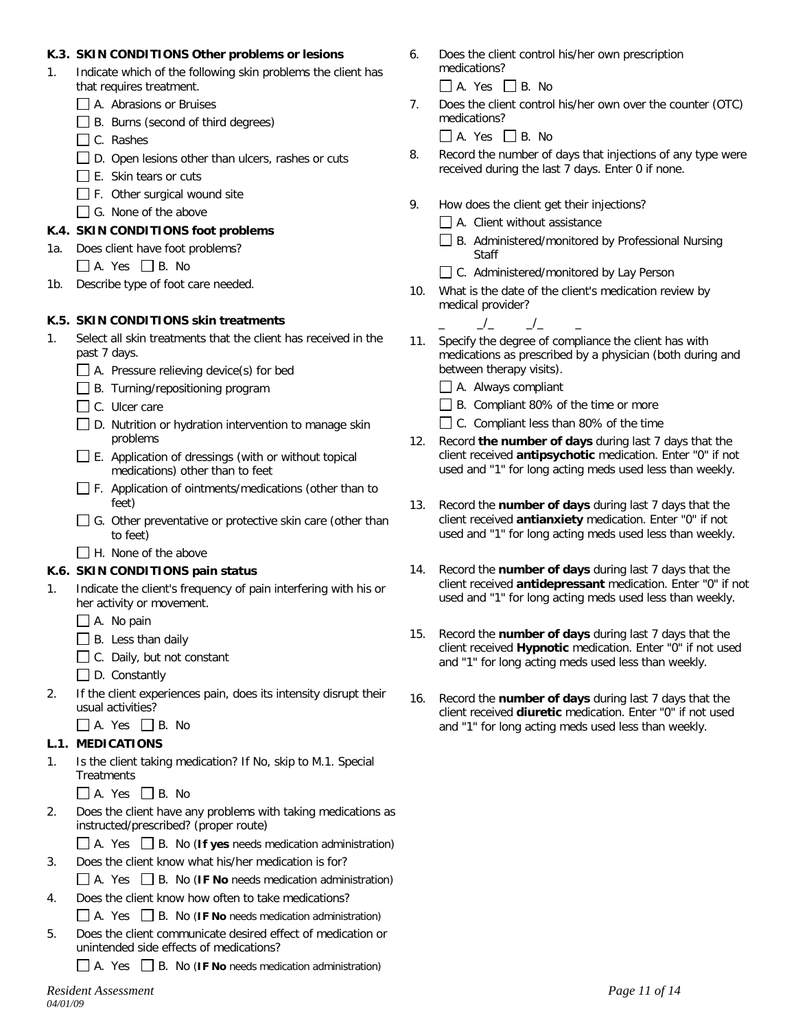### **K.3. SKIN CONDITIONS Other problems or lesions**

- 1. Indicate which of the following skin problems the client has that requires treatment.
	- A. Abrasions or Bruises
	- □ B. Burns (second of third degrees)
	- □ C. Rashes
	- $\Box$  D. Open lesions other than ulcers, rashes or cuts
	- $\Box$  E. Skin tears or cuts
	- $\Box$  F. Other surgical wound site
	- G. None of the above

# **K.4. SKIN CONDITIONS foot problems**

- 1a. Does client have foot problems?
	- $\Box$  A. Yes  $\Box$  B. No
- 1b. Describe type of foot care needed.

# **K.5. SKIN CONDITIONS skin treatments**

- 1. Select all skin treatments that the client has received in the past 7 days.
	- A. Pressure relieving device(s) for bed
	- B. Turning/repositioning program
	- C. Ulcer care
	- $\Box$  D. Nutrition or hydration intervention to manage skin problems
	- $\Box$  E. Application of dressings (with or without topical medications) other than to feet
	- $\Box$  F. Application of ointments/medications (other than to feet)
	- G. Other preventative or protective skin care (other than to feet)
	- $\Box$  H. None of the above

# **K.6. SKIN CONDITIONS pain status**

- 1. Indicate the client's frequency of pain interfering with his or her activity or movement.
	- $\Box$  A. No pain
	- $\Box$  B. Less than daily
	- $\Box$  C. Daily, but not constant
	- $\Box$  D. Constantly
- 2. If the client experiences pain, does its intensity disrupt their usual activities?
	- $\Box$  A. Yes  $\Box$  B. No

# **L.1. MEDICATIONS**

- 1. Is the client taking medication? If No, skip to M.1. Special **Treatments** 
	- $\Box$  A. Yes  $\Box$  B. No
- 2. Does the client have any problems with taking medications as instructed/prescribed? (proper route)
	- A. Yes B. No (**If yes** needs medication administration)
- 3. Does the client know what his/her medication is for?
	- A. Yes B. No (**IF No** needs medication administration)
- 4. Does the client know how often to take medications? A. Yes B. No (**IF No** needs medication administration)
- 5. Does the client communicate desired effect of medication or unintended side effects of medications?

A. Yes B. No (**IF No** needs medication administration)

- 6. Does the client control his/her own prescription medications?
	- $\Box$  A. Yes  $\Box$  B. No
- 7. Does the client control his/her own over the counter (OTC) medications?

 $\Box$  A. Yes  $\Box$  B. No

- 8. Record the number of days that injections of any type were received during the last 7 days. Enter 0 if none.
- 9. How does the client get their injections?
	- $\Box$  A. Client without assistance
	- $\Box$  B. Administered/monitored by Professional Nursing **Staff**
	- □ C. Administered/monitored by Lay Person
- 10. What is the date of the client's medication review by medical provider?

 $\_$ /\_  $\_$ /\_

- 11. Specify the degree of compliance the client has with medications as prescribed by a physician (both during and between therapy visits).
	- A. Always compliant
	- B. Compliant 80% of the time or more
	- □ C. Compliant less than 80% of the time
- 12. Record **the number of days** during last 7 days that the client received **antipsychotic** medication. Enter "0" if not used and "1" for long acting meds used less than weekly.
- 13. Record the **number of days** during last 7 days that the client received **antianxiety** medication. Enter "0" if not used and "1" for long acting meds used less than weekly.
- 14. Record the **number of days** during last 7 days that the client received **antidepressant** medication. Enter "0" if not used and "1" for long acting meds used less than weekly.
- 15. Record the **number of days** during last 7 days that the client received **Hypnotic** medication. Enter "0" if not used and "1" for long acting meds used less than weekly.
- 16. Record the **number of days** during last 7 days that the client received **diuretic** medication. Enter "0" if not used and "1" for long acting meds used less than weekly.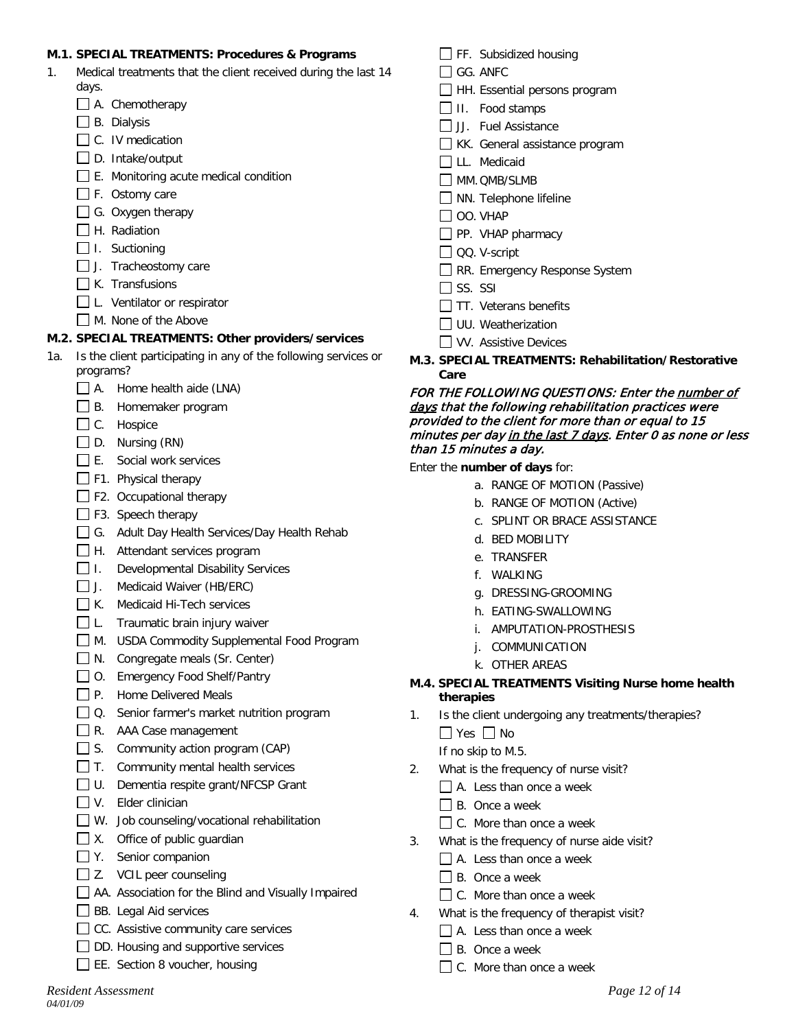### **M.1. SPECIAL TREATMENTS: Procedures & Programs**

- 1. Medical treatments that the client received during the last 14 days.
	- A. Chemotherapy
	- $\Box$  B. Dialysis
	- $\Box$  C. IV medication
	- $\square$  D. Intake/output
	- $\Box$  E. Monitoring acute medical condition
	- $\Box$  F. Ostomy care
	- $\Box$  G. Oxygen therapy
	- $\Box$  H. Radiation
	- $\Box$  I. Suctioning
	- J. Tracheostomy care
	- $\Box$  K. Transfusions
	- □ L. Ventilator or respirator
	- M. None of the Above

#### **M.2. SPECIAL TREATMENTS: Other providers/services**

- 1a. Is the client participating in any of the following services or programs?
	- $\Box$  A. Home health aide (LNA)
	- B. Homemaker program
	- C. Hospice
	- $\Box$  D. Nursing (RN)
	- E. Social work services
	- F1. Physical therapy
	- F2. Occupational therapy
	- F3. Speech therapy
	- G. Adult Day Health Services/Day Health Rehab
	- H. Attendant services program
	- $\Box$  I. Developmental Disability Services
	- J. Medicaid Waiver (HB/ERC)
	- $\Box$  K. Medicaid Hi-Tech services
	- □L. Traumatic brain injury waiver
	- M. USDA Commodity Supplemental Food Program
	- N. Congregate meals (Sr. Center)
	- □ O. Emergency Food Shelf/Pantry
	- P. Home Delivered Meals
	- □ Q. Senior farmer's market nutrition program
	- R. AAA Case management
	- $\Box$  S. Community action program (CAP)
	- $\Box$  T. Community mental health services
	- □ U. Dementia respite grant/NFCSP Grant
	- $\nabla V$ . Elder clinician
	- $\Box$  W. Job counseling/vocational rehabilitation
	- $\Box$  X. Office of public quardian
	- Y. Senior companion
	- $\Box$  Z. VCIL peer counseling
	- AA. Association for the Blind and Visually Impaired
	- **BB.** Legal Aid services
	- CC. Assistive community care services
	- $\Box$  DD. Housing and supportive services
	- EE. Section 8 voucher, housing
- $\Box$  FF. Subsidized housing
- □ GG. ANFC
- HH. Essential persons program
- $\Box$  II. Food stamps
- JJ. Fuel Assistance
- KK. General assistance program
- **LLL.** Medicaid
- MM.OMB/SLMB
- NN. Telephone lifeline
- $\Box$  OO. VHAP
- PP. VHAP pharmacy
- QQ. V-script
- RR. Emergency Response System
- $\Box$  SS. SSI
- $\Box$  TT. Veterans benefits
- $\Box$  UU. Weatherization
- **NV.** Assistive Devices
- **M.3. SPECIAL TREATMENTS: Rehabilitation/Restorative Care**

#### FOR THE FOLLOWING QUESTIONS: Enter the number of days that the following rehabilitation practices were provided to the client for more than or equal to 15 minutes per day in the last 7 days. Enter 0 as none or less than 15 minutes a day.

#### Enter the **number of days** for:

- a. RANGE OF MOTION (Passive)
- b. RANGE OF MOTION (Active)
- c. SPLINT OR BRACE ASSISTANCE
- d. BED MOBILITY
- e. TRANSFER
- f. WALKING
- g. DRESSING-GROOMING
- h. EATING-SWALLOWING
- i. AMPUTATION-PROSTHESIS
- j. COMMUNICATION
- k. OTHER AREAS
- **M.4. SPECIAL TREATMENTS Visiting Nurse home health therapies**
- 1. Is the client undergoing any treatments/therapies?

 $\Box$  Yes  $\Box$  No

- If no skip to M.5.
- 2. What is the frequency of nurse visit?
	- A. Less than once a week
		- $\Box$  B. Once a week
	- $\Box$  C. More than once a week
- 3. What is the frequency of nurse aide visit?
	- A. Less than once a week
	- $\Box$  B. Once a week
	- □ C. More than once a week
- 4. What is the frequency of therapist visit?
	- A. Less than once a week
	- $\Box$  B. Once a week
	- $\Box$  C. More than once a week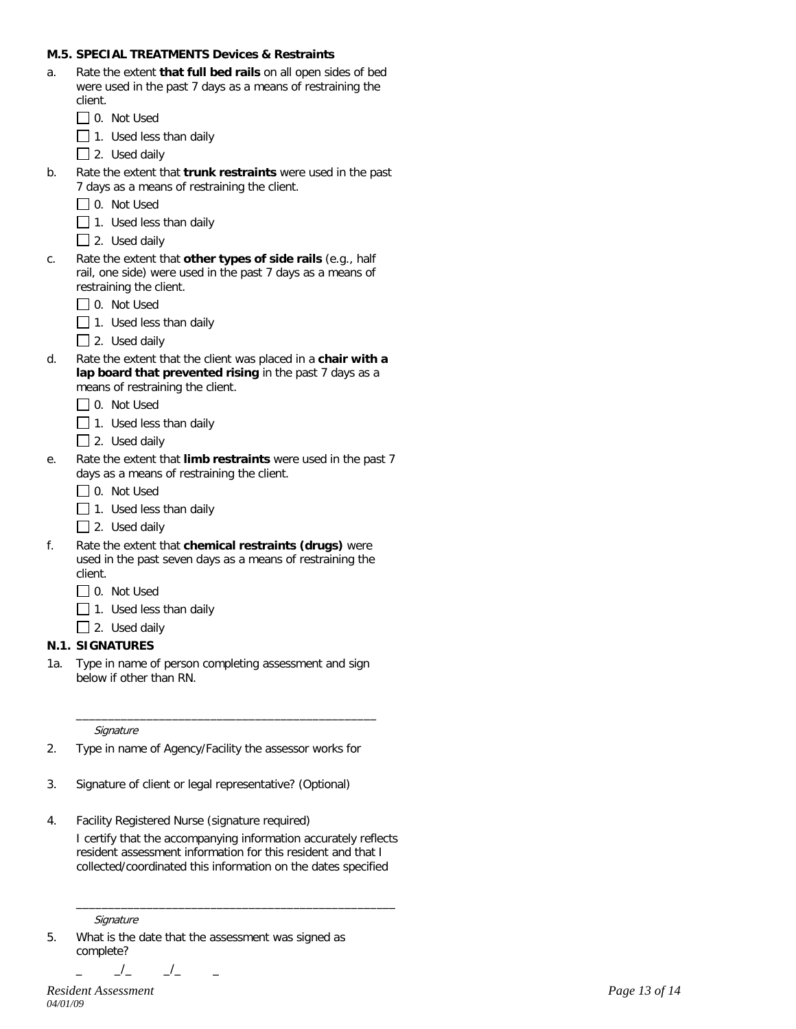#### **M.5. SPECIAL TREATMENTS Devices & Restraints**

- a. Rate the extent **that full bed rails** on all open sides of bed were used in the past 7 days as a means of restraining the client. □ 0. Not Used
	-
	- $\Box$  1. Used less than daily
	- $\Box$  2. Used daily
- b. Rate the extent that **trunk restraints** were used in the past 7 days as a means of restraining the client.
	- $\Box$  0. Not Used
	- $\Box$  1. Used less than daily
	- $\Box$  2. Used daily
- c. Rate the extent that **other types of side rails** (e.g., half rail, one side) were used in the past 7 days as a means of restraining the client.
	- □ 0. Not Used
	- $\Box$  1. Used less than daily
	- $\Box$  2. Used daily
- d. Rate the extent that the client was placed in a **chair with a lap board that prevented rising** in the past 7 days as a means of restraining the client.
	- □ 0. Not Used
	- $\Box$  1. Used less than daily
	- $\Box$  2. Used daily
- e. Rate the extent that **limb restraints** were used in the past 7 days as a means of restraining the client.
	- □ 0. Not Used
	- $\Box$  1. Used less than daily
	- $\Box$  2. Used daily
- f. Rate the extent that **chemical restraints (drugs)** were used in the past seven days as a means of restraining the client.
	- O. Not Used
	- $\Box$  1. Used less than daily
	- $\Box$  2. Used daily

#### **N.1. SIGNATURES**

1a. Type in name of person completing assessment and sign below if other than RN.

\_\_\_\_\_\_\_\_\_\_\_\_\_\_\_\_\_\_\_\_\_\_\_\_\_\_\_\_\_\_\_\_\_\_\_\_\_\_\_\_\_\_\_\_\_\_\_

**Signature** 

- 2. Type in name of Agency/Facility the assessor works for
- 3. Signature of client or legal representative? (Optional)
- 4. Facility Registered Nurse (signature required)

I certify that the accompanying information accurately reflects resident assessment information for this resident and that I collected/coordinated this information on the dates specified

\_\_\_\_\_\_\_\_\_\_\_\_\_\_\_\_\_\_\_\_\_\_\_\_\_\_\_\_\_\_\_\_\_\_\_\_\_\_\_\_\_\_\_\_\_\_\_\_\_\_

**Signature** 

5. What is the date that the assessment was signed as complete?

 $\_$ /\_  $\_$ /\_

*Resident Assessment Page 13 of 14 04/01/09*